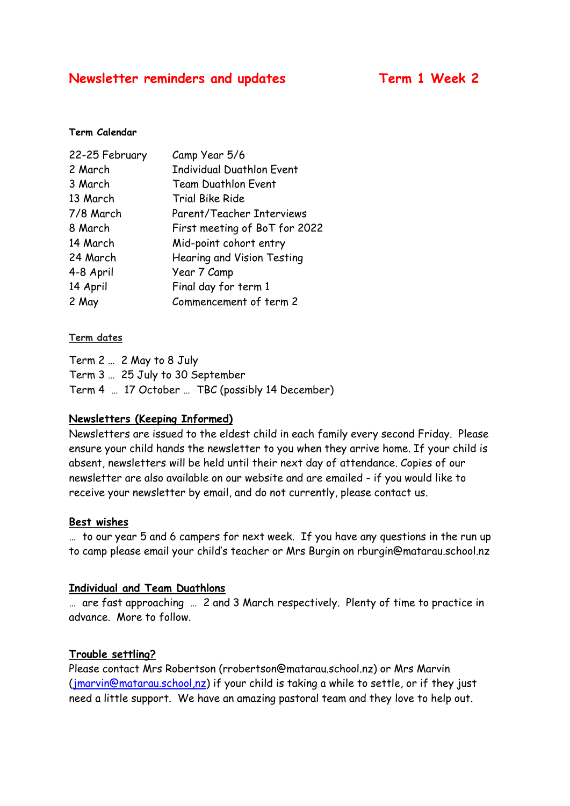### **Newsletter reminders and updates Term 1 Week 2**

#### **Term Calendar**

| 22-25 February | Camp Year 5/6                    |
|----------------|----------------------------------|
| 2 March        | <b>Individual Duathlon Event</b> |
| 3 March        | <b>Team Duathlon Event</b>       |
| 13 March       | <b>Trial Bike Ride</b>           |
| 7/8 March      | Parent/Teacher Interviews        |
| 8 March        | First meeting of BoT for 2022    |
| 14 March       | Mid-point cohort entry           |
| 24 March       | Hearing and Vision Testing       |
| 4-8 April      | Year 7 Camp                      |
| 14 April       | Final day for term 1             |
| 2 May          | Commencement of term 2           |

#### **Term dates**

Term 2 … 2 May to 8 July Term 3 … 25 July to 30 September Term 4 … 17 October … TBC (possibly 14 December)

#### **Newsletters (Keeping Informed)**

Newsletters are issued to the eldest child in each family every second Friday. Please ensure your child hands the newsletter to you when they arrive home. If your child is absent, newsletters will be held until their next day of attendance. Copies of our newsletter are also available on our website and are emailed - if you would like to receive your newsletter by email, and do not currently, please contact us.

#### **Best wishes**

… to our year 5 and 6 campers for next week. If you have any questions in the run up to camp please email your child's teacher or Mrs Burgin on rburgin@matarau.school.nz

#### **Individual and Team Duathlons**

… are fast approaching … 2 and 3 March respectively. Plenty of time to practice in advance. More to follow.

#### **Trouble settling?**

Please contact Mrs Robertson (rrobertson@matarau.school.nz) or Mrs Marvin [\(jmarvin@matarau.school,nz\)](mailto:jmarvin@matarau.school,nz) if your child is taking a while to settle, or if they just need a little support. We have an amazing pastoral team and they love to help out.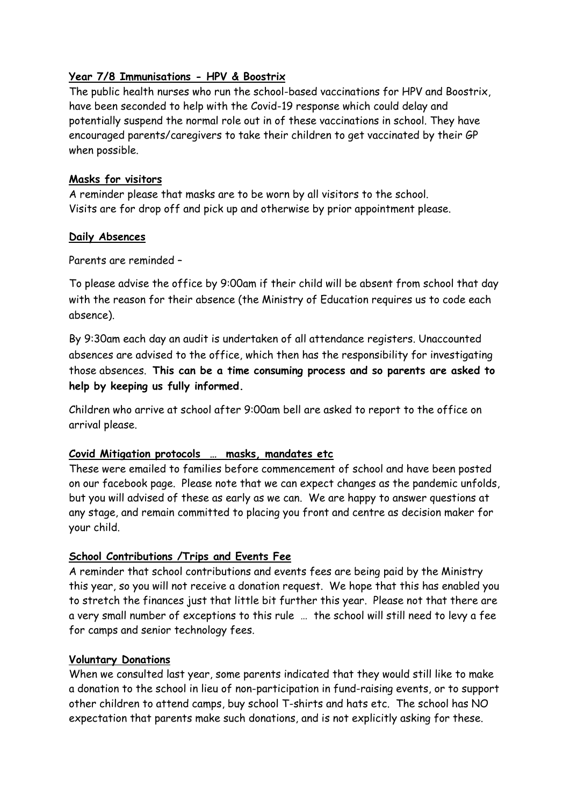#### **Year 7/8 Immunisations - HPV & Boostrix**

The public health nurses who run the school-based vaccinations for HPV and Boostrix, have been seconded to help with the Covid-19 response which could delay and potentially suspend the normal role out in of these vaccinations in school. They have encouraged parents/caregivers to take their children to get vaccinated by their GP when possible.

#### **Masks for visitors**

A reminder please that masks are to be worn by all visitors to the school. Visits are for drop off and pick up and otherwise by prior appointment please.

#### **Daily Absences**

Parents are reminded –

To please advise the office by 9:00am if their child will be absent from school that day with the reason for their absence (the Ministry of Education requires us to code each absence).

By 9:30am each day an audit is undertaken of all attendance registers. Unaccounted absences are advised to the office, which then has the responsibility for investigating those absences. **This can be a time consuming process and so parents are asked to help by keeping us fully informed.**

Children who arrive at school after 9:00am bell are asked to report to the office on arrival please.

#### **Covid Mitigation protocols … masks, mandates etc**

These were emailed to families before commencement of school and have been posted on our facebook page. Please note that we can expect changes as the pandemic unfolds, but you will advised of these as early as we can. We are happy to answer questions at any stage, and remain committed to placing you front and centre as decision maker for your child.

#### **School Contributions /Trips and Events Fee**

A reminder that school contributions and events fees are being paid by the Ministry this year, so you will not receive a donation request. We hope that this has enabled you to stretch the finances just that little bit further this year. Please not that there are a very small number of exceptions to this rule … the school will still need to levy a fee for camps and senior technology fees.

#### **Voluntary Donations**

When we consulted last year, some parents indicated that they would still like to make a donation to the school in lieu of non-participation in fund-raising events, or to support other children to attend camps, buy school T-shirts and hats etc. The school has NO expectation that parents make such donations, and is not explicitly asking for these.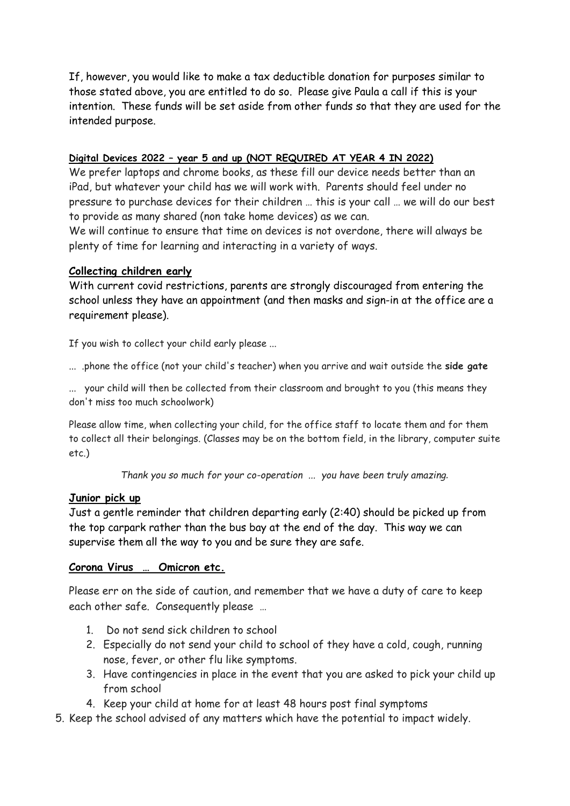If, however, you would like to make a tax deductible donation for purposes similar to those stated above, you are entitled to do so. Please give Paula a call if this is your intention. These funds will be set aside from other funds so that they are used for the intended purpose.

#### **Digital Devices 2022 – year 5 and up (NOT REQUIRED AT YEAR 4 IN 2022)**

We prefer laptops and chrome books, as these fill our device needs better than an iPad, but whatever your child has we will work with. Parents should feel under no pressure to purchase devices for their children … this is your call … we will do our best to provide as many shared (non take home devices) as we can.

We will continue to ensure that time on devices is not overdone, there will always be plenty of time for learning and interacting in a variety of ways.

#### **Collecting children early**

With current covid restrictions, parents are strongly discouraged from entering the school unless they have an appointment (and then masks and sign-in at the office are a requirement please).

If you wish to collect your child early please ...

... .phone the office (not your child's teacher) when you arrive and wait outside the **side gate**

... your child will then be collected from their classroom and brought to you (this means they don't miss too much schoolwork)

Please allow time, when collecting your child, for the office staff to locate them and for them to collect all their belongings. (Classes may be on the bottom field, in the library, computer suite etc.)

*Thank you so much for your co-operation ... you have been truly amazing.*

#### **Junior pick up**

Just a gentle reminder that children departing early (2:40) should be picked up from the top carpark rather than the bus bay at the end of the day. This way we can supervise them all the way to you and be sure they are safe.

#### **Corona Virus … Omicron etc.**

Please err on the side of caution, and remember that we have a duty of care to keep each other safe. Consequently please …

- 1. Do not send sick children to school
- 2. Especially do not send your child to school of they have a cold, cough, running nose, fever, or other flu like symptoms.
- 3. Have contingencies in place in the event that you are asked to pick your child up from school
- 4. Keep your child at home for at least 48 hours post final symptoms

5. Keep the school advised of any matters which have the potential to impact widely.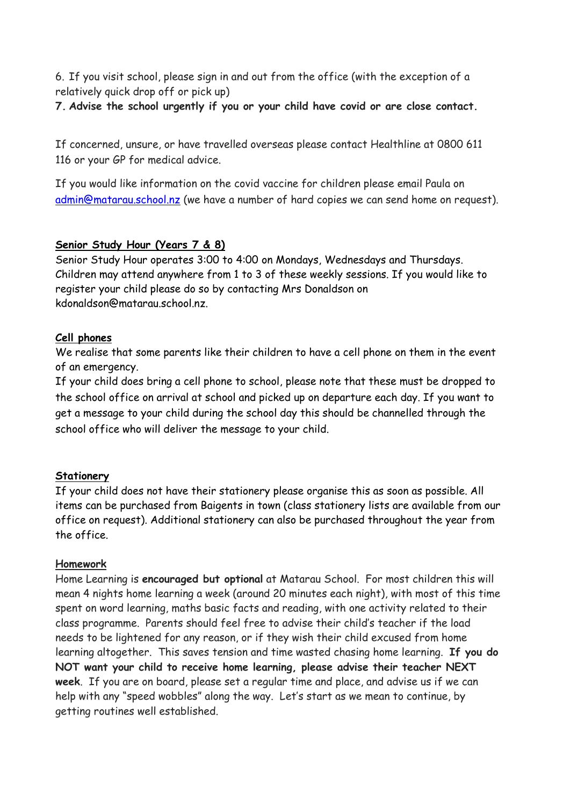6. If you visit school, please sign in and out from the office (with the exception of a relatively quick drop off or pick up)

**7. Advise the school urgently if you or your child have covid or are close contact.**

If concerned, unsure, or have travelled overseas please contact Healthline at 0800 611 116 or your GP for medical advice.

If you would like information on the covid vaccine for children please email Paula on [admin@matarau.school.nz](mailto:admin@matarau.school.nz) (we have a number of hard copies we can send home on request).

#### **Senior Study Hour (Years 7 & 8)**

Senior Study Hour operates 3:00 to 4:00 on Mondays, Wednesdays and Thursdays. Children may attend anywhere from 1 to 3 of these weekly sessions. If you would like to register your child please do so by contacting Mrs Donaldson on kdonaldson@matarau.school.nz.

#### **Cell phones**

We realise that some parents like their children to have a cell phone on them in the event of an emergency.

If your child does bring a cell phone to school, please note that these must be dropped to the school office on arrival at school and picked up on departure each day. If you want to get a message to your child during the school day this should be channelled through the school office who will deliver the message to your child.

#### **Stationery**

If your child does not have their stationery please organise this as soon as possible. All items can be purchased from Baigents in town (class stationery lists are available from our office on request). Additional stationery can also be purchased throughout the year from the office.

#### **Homework**

Home Learning is **encouraged but optional** at Matarau School. For most children this will mean 4 nights home learning a week (around 20 minutes each night), with most of this time spent on word learning, maths basic facts and reading, with one activity related to their class programme. Parents should feel free to advise their child's teacher if the load needs to be lightened for any reason, or if they wish their child excused from home learning altogether. This saves tension and time wasted chasing home learning. **If you do NOT want your child to receive home learning, please advise their teacher NEXT week**. If you are on board, please set a regular time and place, and advise us if we can help with any "speed wobbles" along the way. Let's start as we mean to continue, by getting routines well established.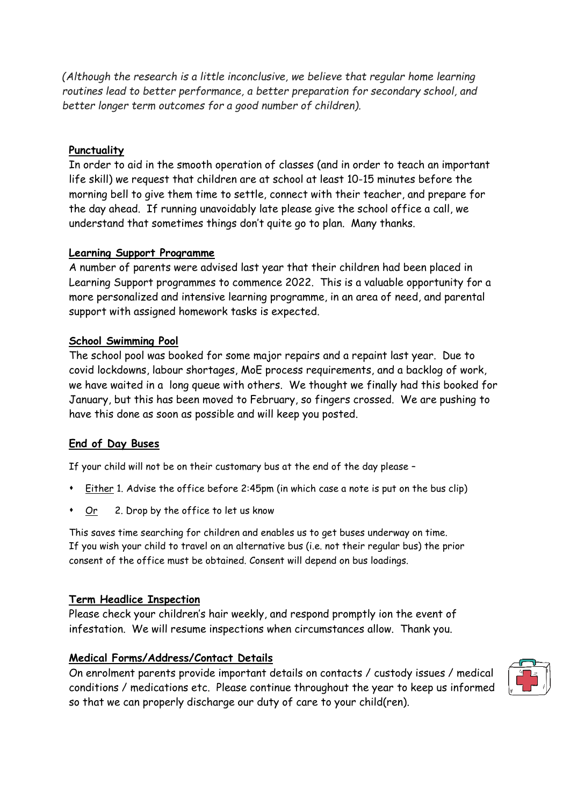*(Although the research is a little inconclusive, we believe that regular home learning routines lead to better performance, a better preparation for secondary school, and better longer term outcomes for a good number of children).*

#### **Punctuality**

In order to aid in the smooth operation of classes (and in order to teach an important life skill) we request that children are at school at least 10-15 minutes before the morning bell to give them time to settle, connect with their teacher, and prepare for the day ahead. If running unavoidably late please give the school office a call, we understand that sometimes things don't quite go to plan. Many thanks.

#### **Learning Support Programme**

A number of parents were advised last year that their children had been placed in Learning Support programmes to commence 2022. This is a valuable opportunity for a more personalized and intensive learning programme, in an area of need, and parental support with assigned homework tasks is expected.

#### **School Swimming Pool**

The school pool was booked for some major repairs and a repaint last year. Due to covid lockdowns, labour shortages, MoE process requirements, and a backlog of work, we have waited in a long queue with others. We thought we finally had this booked for January, but this has been moved to February, so fingers crossed. We are pushing to have this done as soon as possible and will keep you posted.

#### **End of Day Buses**

If your child will not be on their customary bus at the end of the day please –

- Either 1. Advise the office before 2:45pm (in which case a note is put on the bus clip)
- Or 2. Drop by the office to let us know

This saves time searching for children and enables us to get buses underway on time. If you wish your child to travel on an alternative bus (i.e. not their regular bus) the prior consent of the office must be obtained. Consent will depend on bus loadings.

#### **Term Headlice Inspection**

Please check your children's hair weekly, and respond promptly ion the event of infestation. We will resume inspections when circumstances allow. Thank you.

#### **Medical Forms/Address/Contact Details**

On enrolment parents provide important details on contacts / custody issues / medical conditions / medications etc. Please continue throughout the year to keep us informed so that we can properly discharge our duty of care to your child(ren).

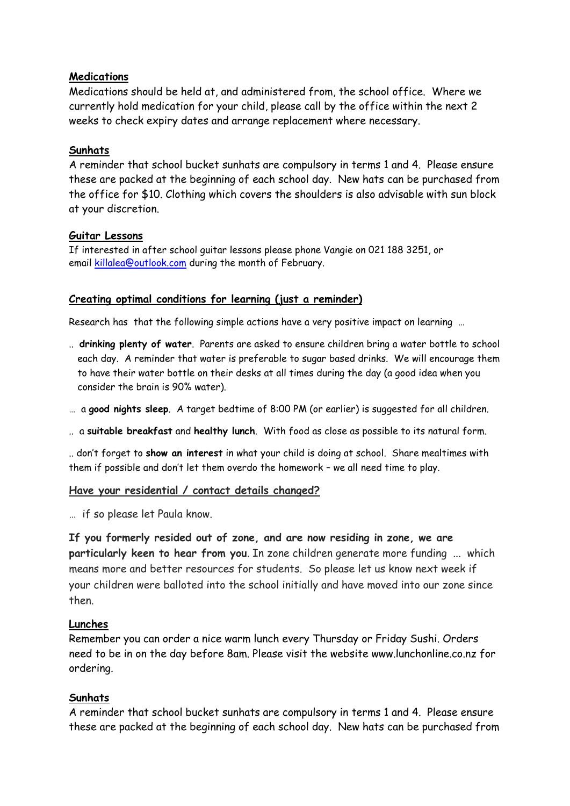#### **Medications**

Medications should be held at, and administered from, the school office. Where we currently hold medication for your child, please call by the office within the next 2 weeks to check expiry dates and arrange replacement where necessary.

#### **Sunhats**

A reminder that school bucket sunhats are compulsory in terms 1 and 4. Please ensure these are packed at the beginning of each school day. New hats can be purchased from the office for \$10. Clothing which covers the shoulders is also advisable with sun block at your discretion.

#### **Guitar Lessons**

If interested in after school guitar lessons please phone Vangie on 021 188 3251, or email [killalea@outlook.com](mailto:killalea@outlook.com) during the month of February.

#### **Creating optimal conditions for learning (just a reminder)**

Research has that the following simple actions have a very positive impact on learning …

- .. **drinking plenty of water**. Parents are asked to ensure children bring a water bottle to school each day. A reminder that water is preferable to sugar based drinks. We will encourage them to have their water bottle on their desks at all times during the day (a good idea when you consider the brain is 90% water).
- … a **good nights sleep**. A target bedtime of 8:00 PM (or earlier) is suggested for all children.
- .. a **suitable breakfast** and **healthy lunch**. With food as close as possible to its natural form.

.. don't forget to **show an interest** in what your child is doing at school. Share mealtimes with them if possible and don't let them overdo the homework – we all need time to play.

#### **Have your residential / contact details changed?**

… if so please let Paula know.

**If you formerly resided out of zone, and are now residing in zone, we are particularly keen to hear from you**. In zone children generate more funding ... which means more and better resources for students. So please let us know next week if your children were balloted into the school initially and have moved into our zone since then.

#### **Lunches**

Remember you can order a nice warm lunch every Thursday or Friday Sushi. Orders need to be in on the day before 8am. Please visit the website www.lunchonline.co.nz for ordering.

#### **Sunhats**

A reminder that school bucket sunhats are compulsory in terms 1 and 4. Please ensure these are packed at the beginning of each school day. New hats can be purchased from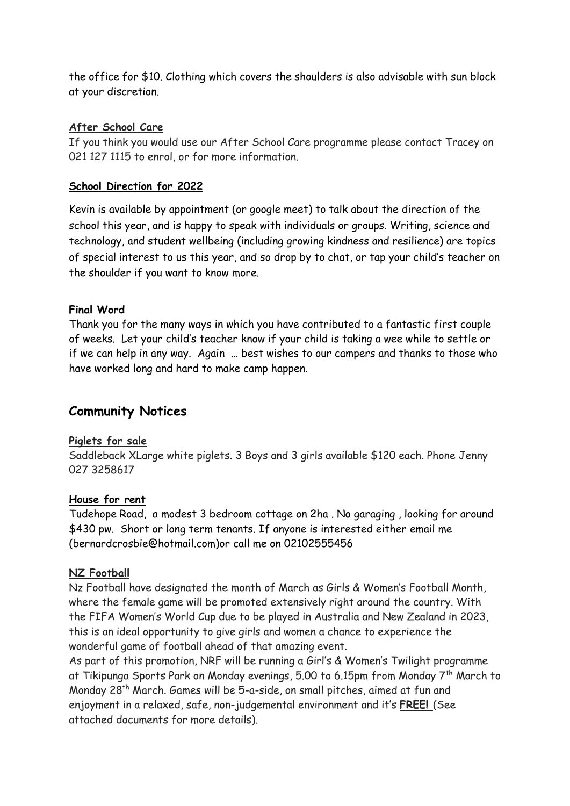the office for \$10. Clothing which covers the shoulders is also advisable with sun block at your discretion.

#### **After School Care**

If you think you would use our After School Care programme please contact Tracey on 021 127 1115 to enrol, or for more information.

#### **School Direction for 2022**

Kevin is available by appointment (or google meet) to talk about the direction of the school this year, and is happy to speak with individuals or groups. Writing, science and technology, and student wellbeing (including growing kindness and resilience) are topics of special interest to us this year, and so drop by to chat, or tap your child's teacher on the shoulder if you want to know more.

#### **Final Word**

Thank you for the many ways in which you have contributed to a fantastic first couple of weeks. Let your child's teacher know if your child is taking a wee while to settle or if we can help in any way. Again … best wishes to our campers and thanks to those who have worked long and hard to make camp happen.

## **Community Notices**

#### **Piglets for sale**

Saddleback XLarge white piglets. 3 Boys and 3 girls available \$120 each. Phone Jenny 027 3258617

#### **House for rent**

Tudehope Road, a modest 3 bedroom cottage on 2ha . No garaging , looking for around \$430 pw. Short or long term tenants. If anyone is interested either email me (bernardcrosbie@hotmail.com)or call me on 02102555456

#### **NZ Football**

Nz Football have designated the month of March as Girls & Women's Football Month, where the female game will be promoted extensively right around the country. With the FIFA Women's World Cup due to be played in Australia and New Zealand in 2023, this is an ideal opportunity to give girls and women a chance to experience the wonderful game of football ahead of that amazing event.

As part of this promotion, NRF will be running a Girl's & Women's Twilight programme at Tikipunga Sports Park on Monday evenings, 5.00 to 6.15pm from Monday 7th March to Monday 28th March. Games will be 5-a-side, on small pitches, aimed at fun and enjoyment in a relaxed, safe, non-judgemental environment and it's **FREE!** (See attached documents for more details).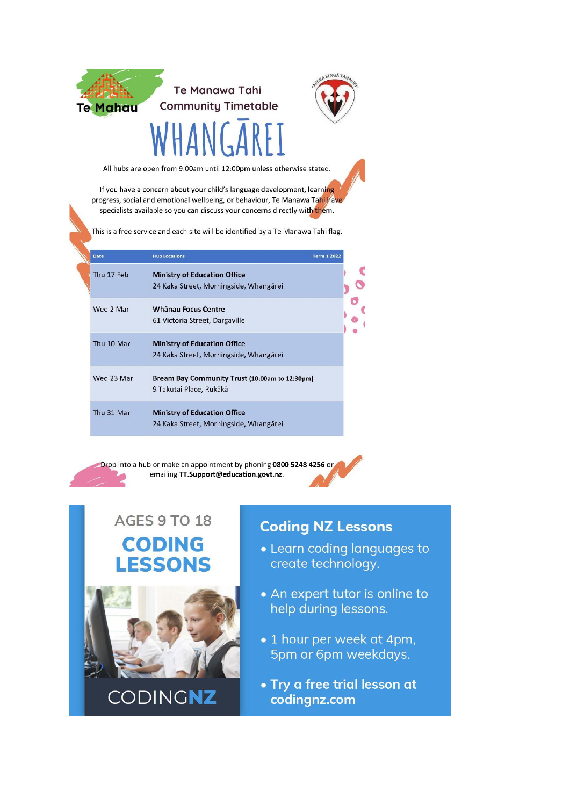

# **Te Manawa Tahi Community Timetable**



All hubs are open from 9:00am until 12:00pm unless otherwise stated.

If you have a concern about your child's language development, learning progress, social and emotional wellbeing, or behaviour, Te Manawa Tahi have specialists available so you can discuss your concerns directly with them.

This is a free service and each site will be identified by a Te Manawa Tahi flag.

| Date       | <b>Hub Locations</b><br><b>Term 1 2022</b>                                    |  |
|------------|-------------------------------------------------------------------------------|--|
| Thu 17 Feb | <b>Ministry of Education Office</b><br>24 Kaka Street, Morningside, Whangārei |  |
| Wed 2 Mar  | Whanau Focus Centre<br>61 Victoria Street, Dargaville                         |  |
| Thu 10 Mar | <b>Ministry of Education Office</b><br>24 Kaka Street, Morningside, Whangārei |  |
| Wed 23 Mar | Bream Bay Community Trust (10:00am to 12:30pm)<br>9 Takutai Place, Rukākā     |  |
| Thu 31 Mar | <b>Ministry of Education Office</b><br>24 Kaka Street, Morningside, Whangārei |  |

Drop into a hub or make an appointment by phoning 0800 5248 4256 or emailing TT.Support@education.govt.nz.



# **AGES 9 TO 18 CODING LESSONS**



# **Coding NZ Lessons**

- Learn coding languages to create technology.
- An expert tutor is online to help during lessons.
- 1 hour per week at 4pm, 5pm or 6pm weekdays.
- Try a free trial lesson at codingnz.com